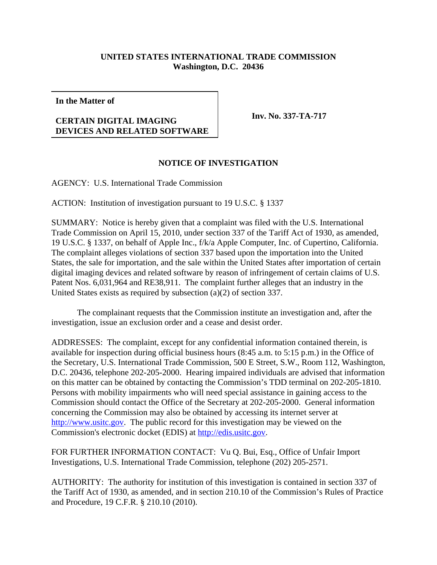## **UNITED STATES INTERNATIONAL TRADE COMMISSION Washington, D.C. 20436**

**In the Matter of**

## **CERTAIN DIGITAL IMAGING DEVICES AND RELATED SOFTWARE**

**Inv. No. 337-TA-717**

## **NOTICE OF INVESTIGATION**

AGENCY: U.S. International Trade Commission

ACTION: Institution of investigation pursuant to 19 U.S.C. § 1337

SUMMARY: Notice is hereby given that a complaint was filed with the U.S. International Trade Commission on April 15, 2010, under section 337 of the Tariff Act of 1930, as amended, 19 U.S.C. § 1337, on behalf of Apple Inc., f/k/a Apple Computer, Inc. of Cupertino, California. The complaint alleges violations of section 337 based upon the importation into the United States, the sale for importation, and the sale within the United States after importation of certain digital imaging devices and related software by reason of infringement of certain claims of U.S. Patent Nos. 6,031,964 and RE38,911. The complaint further alleges that an industry in the United States exists as required by subsection (a)(2) of section 337.

The complainant requests that the Commission institute an investigation and, after the investigation, issue an exclusion order and a cease and desist order.

ADDRESSES: The complaint, except for any confidential information contained therein, is available for inspection during official business hours (8:45 a.m. to 5:15 p.m.) in the Office of the Secretary, U.S. International Trade Commission, 500 E Street, S.W., Room 112, Washington, D.C. 20436, telephone 202-205-2000. Hearing impaired individuals are advised that information on this matter can be obtained by contacting the Commission's TDD terminal on 202-205-1810. Persons with mobility impairments who will need special assistance in gaining access to the Commission should contact the Office of the Secretary at 202-205-2000. General information concerning the Commission may also be obtained by accessing its internet server at http://www.usitc.gov. The public record for this investigation may be viewed on the Commission's electronic docket (EDIS) at http://edis.usitc.gov.

FOR FURTHER INFORMATION CONTACT: Vu Q. Bui, Esq., Office of Unfair Import Investigations, U.S. International Trade Commission, telephone (202) 205-2571.

AUTHORITY: The authority for institution of this investigation is contained in section 337 of the Tariff Act of 1930, as amended, and in section 210.10 of the Commission's Rules of Practice and Procedure, 19 C.F.R. § 210.10 (2010).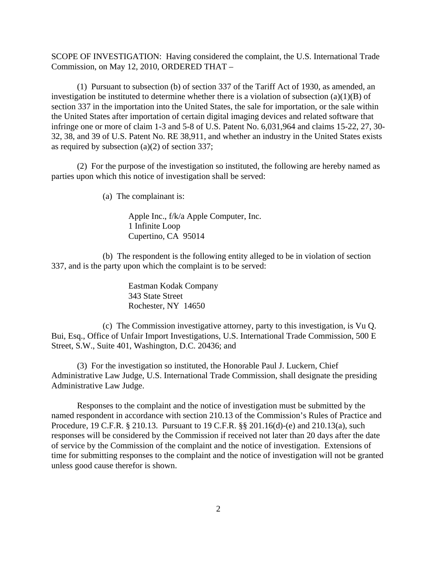SCOPE OF INVESTIGATION: Having considered the complaint, the U.S. International Trade Commission, on May 12, 2010, ORDERED THAT –

(1) Pursuant to subsection (b) of section 337 of the Tariff Act of 1930, as amended, an investigation be instituted to determine whether there is a violation of subsection  $(a)(1)(B)$  of section 337 in the importation into the United States, the sale for importation, or the sale within the United States after importation of certain digital imaging devices and related software that infringe one or more of claim 1-3 and 5-8 of U.S. Patent No. 6,031,964 and claims 15-22, 27, 30- 32, 38, and 39 of U.S. Patent No. RE 38,911, and whether an industry in the United States exists as required by subsection (a)(2) of section 337;

(2) For the purpose of the investigation so instituted, the following are hereby named as parties upon which this notice of investigation shall be served:

(a) The complainant is:

Apple Inc., f/k/a Apple Computer, Inc. 1 Infinite Loop Cupertino, CA 95014

(b) The respondent is the following entity alleged to be in violation of section 337, and is the party upon which the complaint is to be served:

> Eastman Kodak Company 343 State Street Rochester, NY 14650

(c) The Commission investigative attorney, party to this investigation, is Vu Q. Bui, Esq., Office of Unfair Import Investigations, U.S. International Trade Commission, 500 E Street, S.W., Suite 401, Washington, D.C. 20436; and

(3) For the investigation so instituted, the Honorable Paul J. Luckern, Chief Administrative Law Judge, U.S. International Trade Commission, shall designate the presiding Administrative Law Judge.

Responses to the complaint and the notice of investigation must be submitted by the named respondent in accordance with section 210.13 of the Commission's Rules of Practice and Procedure, 19 C.F.R. § 210.13. Pursuant to 19 C.F.R. §§ 201.16(d)-(e) and 210.13(a), such responses will be considered by the Commission if received not later than 20 days after the date of service by the Commission of the complaint and the notice of investigation. Extensions of time for submitting responses to the complaint and the notice of investigation will not be granted unless good cause therefor is shown.